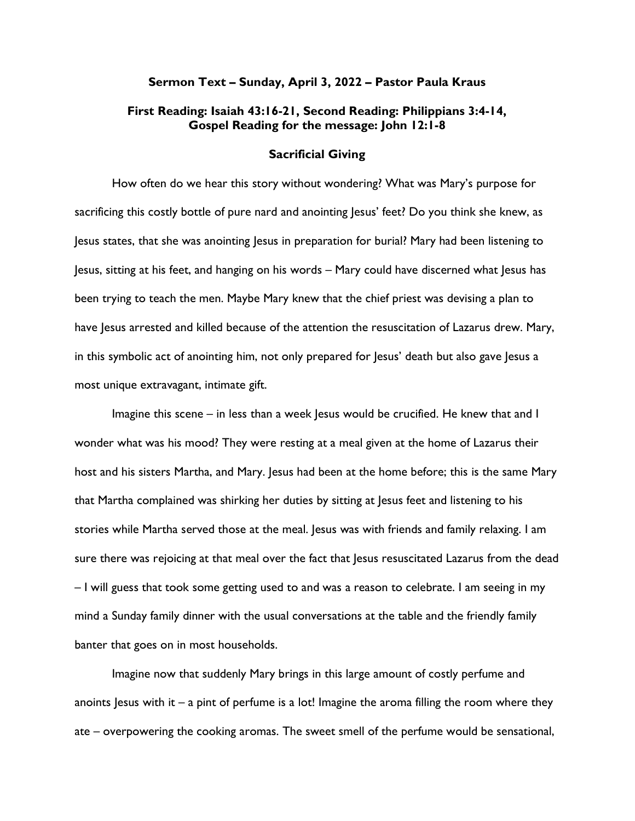## Sermon Text – Sunday, April 3, 2022 – Pastor Paula Kraus

## First Reading: Isaiah 43:16-21, Second Reading: Philippians 3:4-14, Gospel Reading for the message: John 12:1-8

## Sacrificial Giving

How often do we hear this story without wondering? What was Mary's purpose for sacrificing this costly bottle of pure nard and anointing Jesus' feet? Do you think she knew, as Jesus states, that she was anointing Jesus in preparation for burial? Mary had been listening to Jesus, sitting at his feet, and hanging on his words – Mary could have discerned what Jesus has been trying to teach the men. Maybe Mary knew that the chief priest was devising a plan to have Jesus arrested and killed because of the attention the resuscitation of Lazarus drew. Mary, in this symbolic act of anointing him, not only prepared for Jesus' death but also gave Jesus a most unique extravagant, intimate gift.

Imagine this scene – in less than a week Jesus would be crucified. He knew that and I wonder what was his mood? They were resting at a meal given at the home of Lazarus their host and his sisters Martha, and Mary. Jesus had been at the home before; this is the same Mary that Martha complained was shirking her duties by sitting at Jesus feet and listening to his stories while Martha served those at the meal. Jesus was with friends and family relaxing. I am sure there was rejoicing at that meal over the fact that Jesus resuscitated Lazarus from the dead – I will guess that took some getting used to and was a reason to celebrate. I am seeing in my mind a Sunday family dinner with the usual conversations at the table and the friendly family banter that goes on in most households.

Imagine now that suddenly Mary brings in this large amount of costly perfume and anoints Jesus with it – a pint of perfume is a lot! Imagine the aroma filling the room where they ate – overpowering the cooking aromas. The sweet smell of the perfume would be sensational,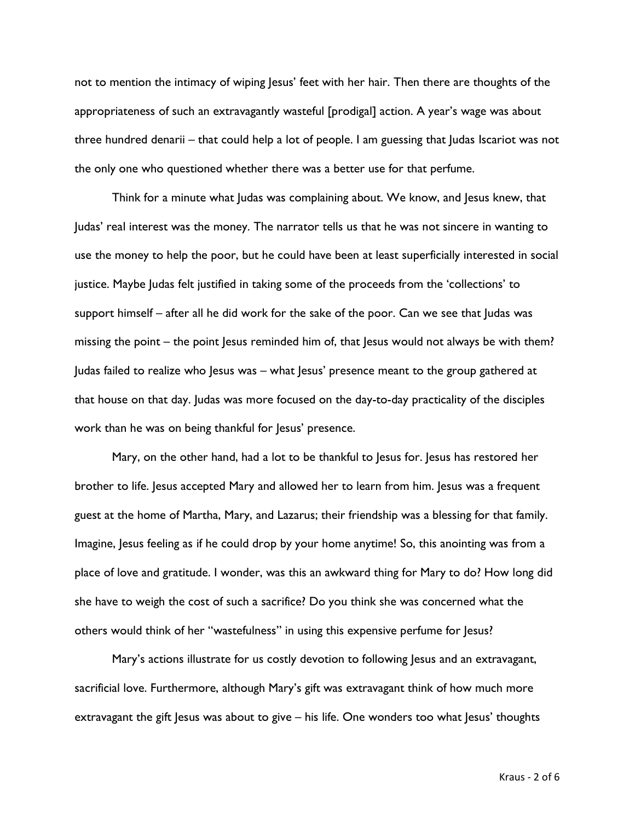not to mention the intimacy of wiping Jesus' feet with her hair. Then there are thoughts of the appropriateness of such an extravagantly wasteful [prodigal] action. A year's wage was about three hundred denarii – that could help a lot of people. I am guessing that Judas Iscariot was not the only one who questioned whether there was a better use for that perfume.

Think for a minute what Judas was complaining about. We know, and Jesus knew, that Judas' real interest was the money. The narrator tells us that he was not sincere in wanting to use the money to help the poor, but he could have been at least superficially interested in social justice. Maybe Judas felt justified in taking some of the proceeds from the 'collections' to support himself – after all he did work for the sake of the poor. Can we see that Judas was missing the point – the point Jesus reminded him of, that Jesus would not always be with them? Judas failed to realize who Jesus was – what Jesus' presence meant to the group gathered at that house on that day. Judas was more focused on the day-to-day practicality of the disciples work than he was on being thankful for Jesus' presence.

Mary, on the other hand, had a lot to be thankful to Jesus for. Jesus has restored her brother to life. Jesus accepted Mary and allowed her to learn from him. Jesus was a frequent guest at the home of Martha, Mary, and Lazarus; their friendship was a blessing for that family. Imagine, Jesus feeling as if he could drop by your home anytime! So, this anointing was from a place of love and gratitude. I wonder, was this an awkward thing for Mary to do? How long did she have to weigh the cost of such a sacrifice? Do you think she was concerned what the others would think of her "wastefulness" in using this expensive perfume for Jesus?

Mary's actions illustrate for us costly devotion to following Jesus and an extravagant, sacrificial love. Furthermore, although Mary's gift was extravagant think of how much more extravagant the gift Jesus was about to give – his life. One wonders too what Jesus' thoughts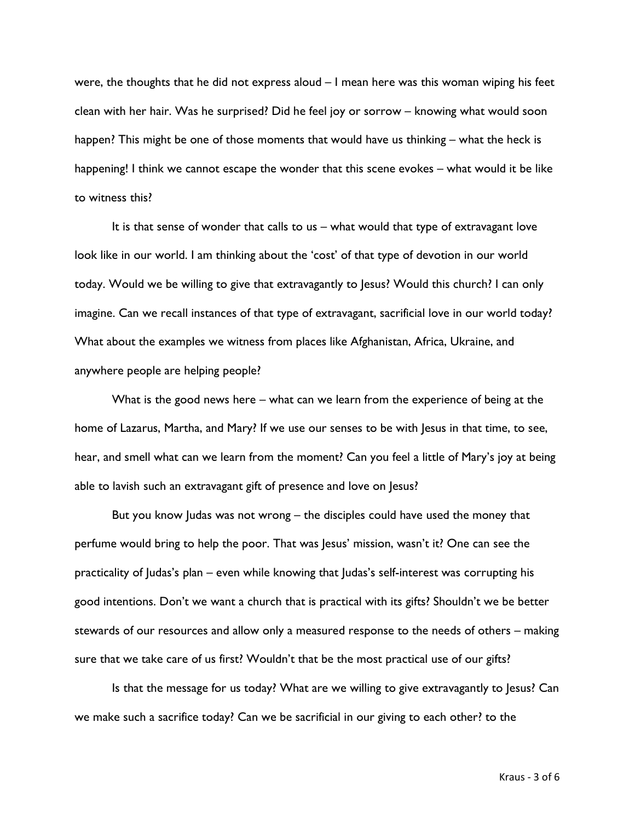were, the thoughts that he did not express aloud – I mean here was this woman wiping his feet clean with her hair. Was he surprised? Did he feel joy or sorrow – knowing what would soon happen? This might be one of those moments that would have us thinking – what the heck is happening! I think we cannot escape the wonder that this scene evokes – what would it be like to witness this?

It is that sense of wonder that calls to us – what would that type of extravagant love look like in our world. I am thinking about the 'cost' of that type of devotion in our world today. Would we be willing to give that extravagantly to Jesus? Would this church? I can only imagine. Can we recall instances of that type of extravagant, sacrificial love in our world today? What about the examples we witness from places like Afghanistan, Africa, Ukraine, and anywhere people are helping people?

What is the good news here – what can we learn from the experience of being at the home of Lazarus, Martha, and Mary? If we use our senses to be with Jesus in that time, to see, hear, and smell what can we learn from the moment? Can you feel a little of Mary's joy at being able to lavish such an extravagant gift of presence and love on Jesus?

But you know Judas was not wrong – the disciples could have used the money that perfume would bring to help the poor. That was Jesus' mission, wasn't it? One can see the practicality of Judas's plan – even while knowing that Judas's self-interest was corrupting his good intentions. Don't we want a church that is practical with its gifts? Shouldn't we be better stewards of our resources and allow only a measured response to the needs of others – making sure that we take care of us first? Wouldn't that be the most practical use of our gifts?

Is that the message for us today? What are we willing to give extravagantly to Jesus? Can we make such a sacrifice today? Can we be sacrificial in our giving to each other? to the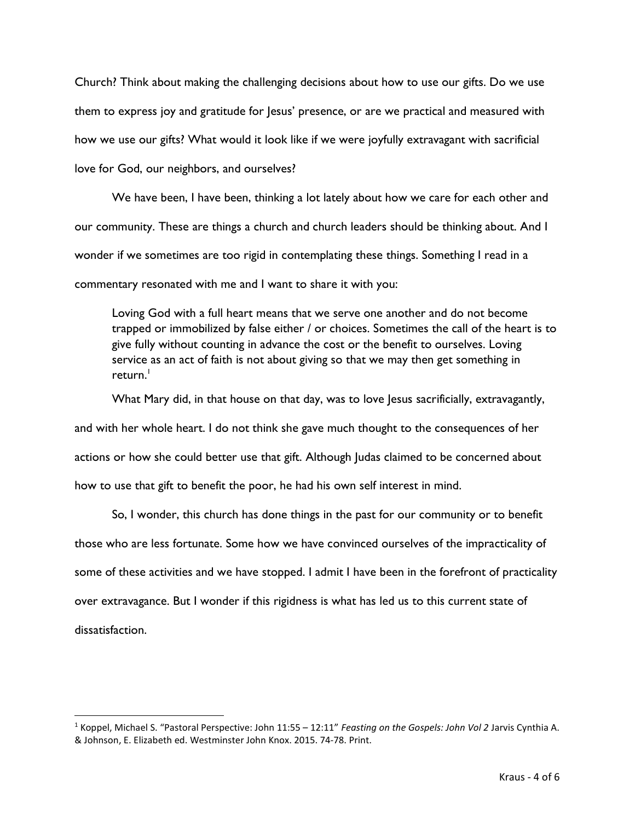Church? Think about making the challenging decisions about how to use our gifts. Do we use them to express joy and gratitude for Jesus' presence, or are we practical and measured with how we use our gifts? What would it look like if we were joyfully extravagant with sacrificial love for God, our neighbors, and ourselves?

We have been, I have been, thinking a lot lately about how we care for each other and our community. These are things a church and church leaders should be thinking about. And I wonder if we sometimes are too rigid in contemplating these things. Something I read in a commentary resonated with me and I want to share it with you:

Loving God with a full heart means that we serve one another and do not become trapped or immobilized by false either / or choices. Sometimes the call of the heart is to give fully without counting in advance the cost or the benefit to ourselves. Loving service as an act of faith is not about giving so that we may then get something in  $return.<sup>1</sup>$ 

What Mary did, in that house on that day, was to love Jesus sacrificially, extravagantly, and with her whole heart. I do not think she gave much thought to the consequences of her actions or how she could better use that gift. Although Judas claimed to be concerned about how to use that gift to benefit the poor, he had his own self interest in mind.

So, I wonder, this church has done things in the past for our community or to benefit those who are less fortunate. Some how we have convinced ourselves of the impracticality of some of these activities and we have stopped. I admit I have been in the forefront of practicality over extravagance. But I wonder if this rigidness is what has led us to this current state of dissatisfaction.

<sup>&</sup>lt;sup>1</sup> Koppel, Michael S. "Pastoral Perspective: John 11:55 – 12:11" Feasting on the Gospels: John Vol 2 Jarvis Cynthia A. & Johnson, E. Elizabeth ed. Westminster John Knox. 2015. 74-78. Print.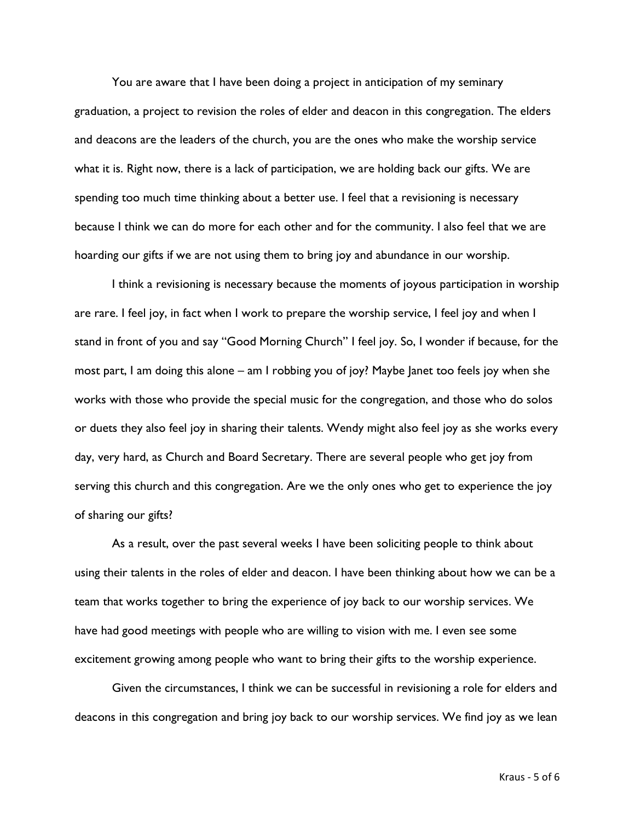You are aware that I have been doing a project in anticipation of my seminary graduation, a project to revision the roles of elder and deacon in this congregation. The elders and deacons are the leaders of the church, you are the ones who make the worship service what it is. Right now, there is a lack of participation, we are holding back our gifts. We are spending too much time thinking about a better use. I feel that a revisioning is necessary because I think we can do more for each other and for the community. I also feel that we are hoarding our gifts if we are not using them to bring joy and abundance in our worship.

I think a revisioning is necessary because the moments of joyous participation in worship are rare. I feel joy, in fact when I work to prepare the worship service, I feel joy and when I stand in front of you and say "Good Morning Church" I feel joy. So, I wonder if because, for the most part, I am doing this alone – am I robbing you of joy? Maybe Janet too feels joy when she works with those who provide the special music for the congregation, and those who do solos or duets they also feel joy in sharing their talents. Wendy might also feel joy as she works every day, very hard, as Church and Board Secretary. There are several people who get joy from serving this church and this congregation. Are we the only ones who get to experience the joy of sharing our gifts?

As a result, over the past several weeks I have been soliciting people to think about using their talents in the roles of elder and deacon. I have been thinking about how we can be a team that works together to bring the experience of joy back to our worship services. We have had good meetings with people who are willing to vision with me. I even see some excitement growing among people who want to bring their gifts to the worship experience.

Given the circumstances, I think we can be successful in revisioning a role for elders and deacons in this congregation and bring joy back to our worship services. We find joy as we lean